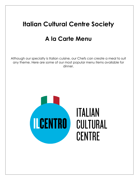# **Italian Cultural Centre Society**

## **A la Carte Menu**

Although our specialty is Italian cuisine, our Chefs can create a meal to suit any theme. Here are some of our most popular menu items available for dinner.

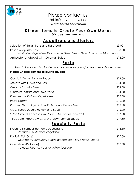

### Please contact us: [Fabio@iccvancouver.ca](mailto:Fabio@iccvancouver.ca) [www.iccvancouver.ca](http://www.iccvancouver.ca/)

#### **Dinner Items to Create Your Own Menus** *(Prices per person)*

## **Appetizers and Starters**

| Selection of Italian Buns and Flatbread                                        | \$3.00  |
|--------------------------------------------------------------------------------|---------|
| Italian Antipasto Plate                                                        | \$13.00 |
| Marinated Vegetables, Prosciutto and Fresh Melon, Sliced Tomato and Bocconcini |         |
| Antipasto (as above) with Calamari Salad                                       | \$18.00 |

## **Pasta**

*Penne is the standard for plated services; however other types of pasta are available upon request.*

#### **Please Choose from the following sauces:**

| Classic Il Centro Tomato Sauce                                                     | \$14.50 |
|------------------------------------------------------------------------------------|---------|
| Tomato with Olives and Basil                                                       | \$14.50 |
| Creamy Tomato Rosé                                                                 | \$14.50 |
| <b>Sundried Tomato and Olive Pesto</b>                                             | \$14.50 |
| Primavera with Fresh Vegetables                                                    | \$15.50 |
| Pesto Cream                                                                        | \$16.00 |
| Roasted Garlic Aglio'Olio with Seasonal Vegetables                                 | \$16.00 |
| Meat Sauce (Contains Pork and Beef)                                                | \$16.00 |
| "Con Cime di Rapa" Rapini, Garlic, Anchovies, and Chili                            | \$17.00 |
| "Il Caboto" Fresh Salmon in a Creamy Lemon Sauce                                   | \$17.50 |
| <b>Specialty Pasta</b>                                                             |         |
| Il Centro's Famous Homemade Lasagna<br>Available in Meat or Vegetarian             | \$18.50 |
| Ravioli (Pick One)<br>Mushroom, Butternut Squash, Braised Beef, or Spinach Ricotta | \$17.50 |
| Cannelloni (Pick One)<br>Spinach Ricotta, Veal, or Italian Sausage                 | \$17.50 |